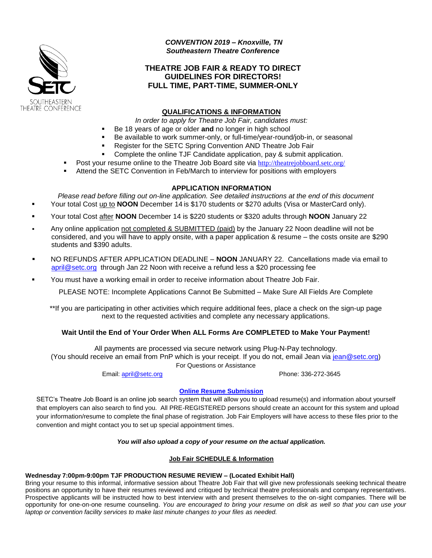

*CONVENTION 2019 – Knoxville, TN Southeastern Theatre Conference*

## **THEATRE JOB FAIR & READY TO DIRECT GUIDELINES FOR DIRECTORS! FULL TIME, PART-TIME, SUMMER-ONLY**

### **QUALIFICATIONS & INFORMATION**

*In order to apply for Theatre Job Fair, candidates must:*

- Be 18 years of age or older **and** no longer in high school
- Be available to work summer-only, or full-time/year-round/job-in, or seasonal
	- Register for the SETC Spring Convention AND Theatre Job Fair
- Complete the online TJF Candidate application, pay & submit application.
- Post your resume online to the Theatre Job Board site via <http://theatrejobboard.setc.org/>
- Attend the SETC Convention in Feb/March to interview for positions with employers

### **APPLICATION INFORMATION**

*Please read before filling out on-line application. See detailed instructions at the end of this document* Your total Cost up to **NOON** December 14 is \$170 students or \$270 adults (Visa or MasterCard only).

- Your total Cost after **NOON** December 14 is \$220 students or \$320 adults through **NOON** January 22
- Any online application not completed & SUBMITTED (paid) by the January 22 Noon deadline will not be considered, and you will have to apply onsite, with a paper application & resume – the costs onsite are \$290 students and \$390 adults.
- NO REFUNDS AFTER APPLICATION DEADLINE **NOON** JANUARY 22. Cancellations made via email to [april@setc.org](mailto:april@setc.org) through Jan 22 Noon with receive a refund less a \$20 processing fee
- You must have a working email in order to receive information about Theatre Job Fair.

PLEASE NOTE: Incomplete Applications Cannot Be Submitted – Make Sure All Fields Are Complete

\*\*If you are participating in other activities which require additional fees, place a check on the sign-up page next to the requested activities and complete any necessary applications.

### **Wait Until the End of Your Order When ALL Forms Are COMPLETED to Make Your Payment!**

All payments are processed via secure network using Plug-N-Pay technology. (You should receive an email from PnP which is your receipt. If you do not, email Jean via [jean@setc.org\)](mailto:jean@setc.org) For Questions or Assistance

Email: [april@setc.org](mailto:april@setc.org) Phone: 336-272-3645

### **[Online Resume Submission](http://theatrejobboard.setc.org/)**

SETC's Theatre Job Board is an online job search system that will allow you to upload resume(s) and information about yourself that employers can also search to find you. All PRE-REGISTERED persons should create an account for this system and upload your information/resume to complete the final phase of registration. Job Fair Employers will have access to these files prior to the convention and might contact you to set up special appointment times.

#### *You will also upload a copy of your resume on the actual application.*

### **Job Fair SCHEDULE & Information**

### **Wednesday 7:00pm-9:00pm TJF PRODUCTION RESUME REVIEW – (Located Exhibit Hall)**

Bring your resume to this informal, informative session about Theatre Job Fair that will give new professionals seeking technical theatre positions an opportunity to have their resumes reviewed and critiqued by technical theatre professionals and company representatives. Prospective applicants will be instructed how to best interview with and present themselves to the on-sight companies. There will be opportunity for one-on-one resume counseling. *You are encouraged to bring your resume on disk as well so that you can use your laptop or convention facility services to make last minute changes to your files as needed.*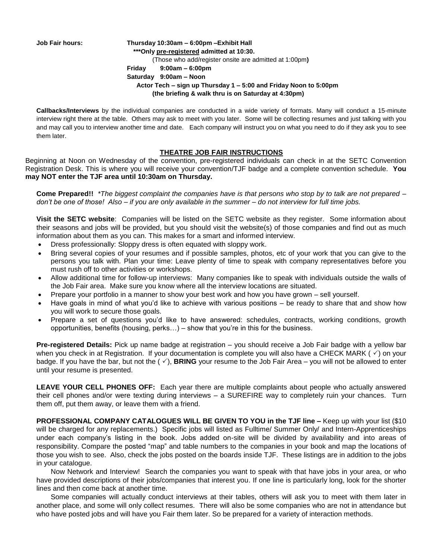**Job Fair hours: Thursday 10:30am – 6:00pm –Exhibit Hall \*\*\*Only pre-registered admitted at 10:30.**  (Those who add/register onsite are admitted at 1:00pm**) Friday 9:00am – 6:00pm Saturday 9:00am – Noon Actor Tech – sign up Thursday 1 – 5:00 and Friday Noon to 5:00pm (the briefing & walk thru is on Saturday at 4:30pm)**

**Callbacks/Interviews** by the individual companies are conducted in a wide variety of formats. Many will conduct a 15-minute interview right there at the table. Others may ask to meet with you later. Some will be collecting resumes and just talking with you and may call you to interview another time and date. Each company will instruct you on what you need to do if they ask you to see them later.

### **THEATRE JOB FAIR INSTRUCTIONS**

Beginning at Noon on Wednesday of the convention, pre-registered individuals can check in at the SETC Convention Registration Desk. This is where you will receive your convention/TJF badge and a complete convention schedule. **You may NOT enter the TJF area until 10:30am on Thursday.**

**Come Prepared!!** *\*The biggest complaint the companies have is that persons who stop by to talk are not prepared – don't be one of those! Also – if you are only available in the summer – do not interview for full time jobs.*

**Visit the SETC website**: Companies will be listed on the SETC website as they register. Some information about their seasons and jobs will be provided, but you should visit the website(s) of those companies and find out as much information about them as you can. This makes for a smart and informed interview.

- Dress professionally: Sloppy dress is often equated with sloppy work.
- Bring several copies of your resumes and if possible samples, photos, etc of your work that you can give to the persons you talk with. Plan your time: Leave plenty of time to speak with company representatives before you must rush off to other activities or workshops.
- Allow additional time for follow-up interviews: Many companies like to speak with individuals outside the walls of the Job Fair area. Make sure you know where all the interview locations are situated.
- Prepare your portfolio in a manner to show your best work and how you have grown sell yourself.
- Have goals in mind of what you'd like to achieve with various positions be ready to share that and show how you will work to secure those goals.
- Prepare a set of questions you'd like to have answered: schedules, contracts, working conditions, growth opportunities, benefits (housing, perks…) – show that you're in this for the business.

**Pre-registered Details:** Pick up name badge at registration – you should receive a Job Fair badge with a yellow bar when you check in at Registration. If your documentation is complete you will also have a CHECK MARK ( $\checkmark$ ) on your badge. If you have the bar, but not the  $(\check{\phantom{1}})$ , **BRING** your resume to the Job Fair Area – you will not be allowed to enter until your resume is presented.

**LEAVE YOUR CELL PHONES OFF:** Each year there are multiple complaints about people who actually answered their cell phones and/or were texting during interviews – a SUREFIRE way to completely ruin your chances. Turn them off, put them away, or leave them with a friend.

**PROFESSIONAL COMPANY CATALOGUES WILL BE GIVEN TO YOU in the TJF line –** Keep up with your list (\$10 will be charged for any replacements.) Specific jobs will listed as Fulltime/ Summer Only/ and Intern-Apprenticeships under each company's listing in the book. Jobs added on-site will be divided by availability and into areas of responsibility. Compare the posted "map" and table numbers to the companies in your book and map the locations of those you wish to see. Also, check the jobs posted on the boards inside TJF. These listings are in addition to the jobs in your catalogue.

Now Network and Interview! Search the companies you want to speak with that have jobs in your area, or who have provided descriptions of their jobs/companies that interest you. If one line is particularly long, look for the shorter lines and then come back at another time.

Some companies will actually conduct interviews at their tables, others will ask you to meet with them later in another place, and some will only collect resumes. There will also be some companies who are not in attendance but who have posted jobs and will have you Fair them later. So be prepared for a variety of interaction methods.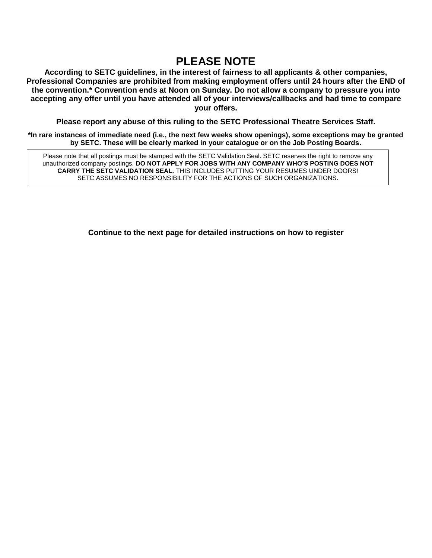# **PLEASE NOTE**

**According to SETC guidelines, in the interest of fairness to all applicants & other companies, Professional Companies are prohibited from making employment offers until 24 hours after the END of the convention.\* Convention ends at Noon on Sunday. Do not allow a company to pressure you into accepting any offer until you have attended all of your interviews/callbacks and had time to compare your offers.**

**Please report any abuse of this ruling to the SETC Professional Theatre Services Staff.**

**\*In rare instances of immediate need (i.e., the next few weeks show openings), some exceptions may be granted by SETC. These will be clearly marked in your catalogue or on the Job Posting Boards.**

Please note that all postings must be stamped with the SETC Validation Seal. SETC reserves the right to remove any unauthorized company postings. **DO NOT APPLY FOR JOBS WITH ANY COMPANY WHO'S POSTING DOES NOT CARRY THE SETC VALIDATION SEAL.** THIS INCLUDES PUTTING YOUR RESUMES UNDER DOORS! SETC ASSUMES NO RESPONSIBILITY FOR THE ACTIONS OF SUCH ORGANIZATIONS.

**Continue to the next page for detailed instructions on how to register**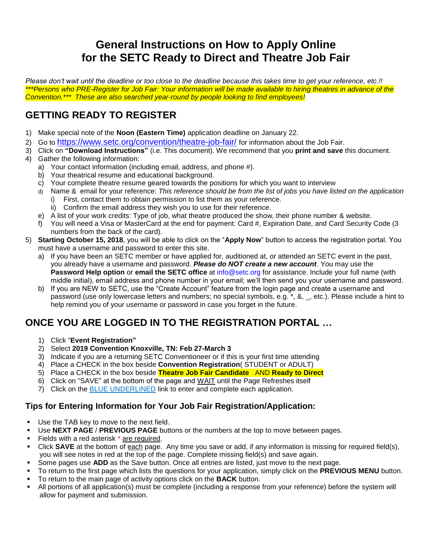# **General Instructions on How to Apply Online for the SETC Ready to Direct and Theatre Job Fair**

*Please don't wait until the deadline or too close to the deadline because this takes time to get your reference, etc.!! \*\*\*Persons who PRE-Register for Job Fair: Your information will be made available to hiring theatres in advance of the Convention.\*\*\* These are also searched year-round by people looking to find employees!*

# **GETTING READY TO REGISTER**

- 1) Make special note of the **Noon (Eastern Time)** application deadline on January 22.
- 2) Go to <https://www.setc.org/convention/theatre-job-fair/> for information about the Job Fair.
- 3) Click on **"Download Instructions"** (i.e. This document). We recommend that you **print and save** this document.
- 4) Gather the following information:
	- a) Your contact information (including email, address, and phone #).
	- b) Your theatrical resume and educational background.
	- c) Your complete theatre resume geared towards the positions for which you want to interview
	- d) Name & email for your reference: *This reference should be from the list of jobs you have listed on the application*
		- First, contact them to obtain permission to list them as your reference.
		- ii) Confirm the email address they wish you to use for their reference.
	- e) A list of your work credits: Type of job, what theatre produced the show, their phone number & website.
	- f) You will need a Visa or MasterCard at the end for payment: Card #, Expiration Date, and Card Security Code (3 numbers from the back of the card).
- 5) **Starting October 15, 2018**, you will be able to click on the "**Apply Now**" button to access the registration portal. You must have a username and password to enter this site.
	- a) If you have been an SETC member or have applied for, auditioned at, or attended an SETC event in the past, you already have a username and password. *Please do NOT create a new account*. You may use the **Password Help option** or **email the SETC office** at info@setc.org for assistance. Include your full name (with middle initial), email address and phone number in your email; we'll then send you your username and password.
	- b) If you are NEW to SETC, use the "Create Account" feature from the login page and create a username and password (use only lowercase letters and numbers; no special symbols, e.g. \*, &, \_, etc.). Please include a hint to help remind you of your username or password in case you forget in the future.

# **ONCE YOU ARE LOGGED IN TO THE REGISTRATION PORTAL …**

- 1) Click "**Event Registration"**
- 2) Select **2019 Convention Knoxville, TN: Feb 27-March 3**
- 3) Indicate if you are a returning SETC Conventioneer or if this is your first time attending
- 4) Place a CHECK in the box beside **Convention Registration**( STUDENT or ADULT)
- 5) Place a CHECK in the box beside **Theatre Job Fair Candidate** AND **Ready to Direct**
- 6) Click on "SAVE" at the bottom of the page and WAIT until the Page Refreshes itself
- 7) Click on the BLUE UNDERLINED link to enter and complete each application.

# **Tips for Entering Information for Your Job Fair Registration/Application:**

- Use the TAB key to move to the next field.
- Use **NEXT PAGE** / PREVIOUS PAGE buttons or the numbers at the top to move between pages.
- Fields with a red asterisk \* are required.
- Click **SAVE** at the bottom of each page. Any time you save or add, if any information is missing for required field(s), you will see notes in red at the top of the page. Complete missing field(s) and save again.
- Some pages use **ADD** as the Save button. Once all entries are listed, just move to the next page.
- To return to the first page which lists the questions for your application, simply click on the **PREVIOUS MENU** button.
- To return to the main page of activity options click on the **BACK** button.
- All portions of all application(s) must be complete (including a response from your reference) before the system will allow for payment and submission.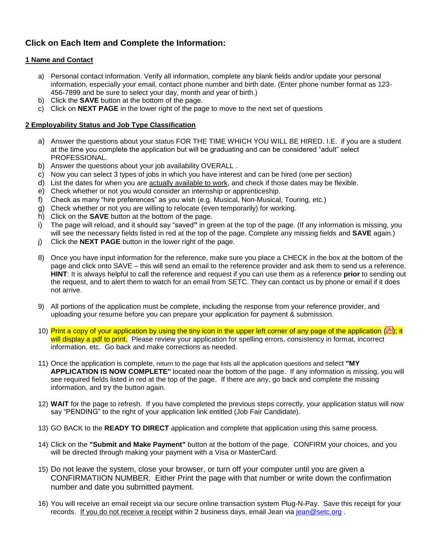# **Click on Each Item and Complete the Information:**

### **1 Name and Contact**

- a) Personal contact information. Verify all information, complete any blank fields and/or update your personal information, especially your email, contact phone number and birth date. (Enter phone number format as 123- 456-7899 and be sure to select your day, month and year of birth.)
- b) Click the **SAVE** button at the bottom of the page.
- c) Click on **NEXT PAGE** in the lower right of the page to move to the next set of questions

### **2 Employability Status and Job Type Classification**

- a) Answer the questions about your status FOR THE TIME WHICH YOU WILL BE HIRED. I.E. if you are a student at the time you complete the application but will be graduating and can be considered "adult" select PROFESSIONAL.
- b) Answer the questions about your job availability OVERALL .
- c) Now you can select 3 types of jobs in which you have interest and can be hired (one per section)
- d) List the dates for when you are actually available to work, and check if those dates may be flexible.
- e) Check whether or not you would consider an internship or apprenticeship.
- f) Check as many "hire preferences" as you wish (e.g. Musical, Non-Musical, Touring, etc.)
- g) Check whether or not you are willing to relocate (even temporarily) for working.
- h) Click on the **SAVE** button at the bottom of the page.
- i) The page will reload, and it should say "saved**"** in green at the top of the page. (If any information is missing, you will see the necessary fields listed in red at the top of the page. Complete any missing fields and **SAVE** again.)
- j) Click the **NEXT PAGE** button in the lower right of the page.
- 8) Once you have input information for the reference, make sure you place a CHECK in the box at the bottom of the page and click onto SAVE – this will send an email to the reference provider and ask them to send us a reference. **HINT**: It is always helpful to call the reference and request if you can use them as a reference **prior** to sending out the request, and to alert them to watch for an email from SETC. They can contact us by phone or email if it does not arrive.
- 9) All portions of the application must be complete, including the response from your reference provider, and uploading your resume before you can prepare your application for payment & submission.
- 10) Print a copy of your application by using the tiny icon in the upper left corner of any page of the application ( $\mathbb{E}$ ); it will display a pdf to print. Please review your application for spelling errors, consistency in format, incorrect information, etc. Go back and make corrections as needed.
- 11) Once the application is complete, return to the page that lists all the application questions and select **"MY APPLICATION IS NOW COMPLETE"** located near the bottom of the page.If any information is missing, you will see required fields listed in red at the top of the page. If there are any, go back and complete the missing information, and try the button again.
- 12) **WAIT** for the page to refresh. If you have completed the previous steps correctly, your application status will now say "PENDING" to the right of your application link entitled (Job Fair Candidate).
- 13) GO BACK to the **READY TO DIRECT** application and complete that application using this same process.
- 14) Click on the **"Submit and Make Payment"** button at the bottom of the page.CONFIRM your choices, and you will be directed through making your payment with a Visa or MasterCard.
- 15) Do not leave the system, close your browser, or turn off your computer until you are given a CONFIRMATIION NUMBER. Either Print the page with that number or write down the confirmation number and date you submitted payment.
- 16) You will receive an email receipt via our secure online transaction system Plug-N-Pay. Save this receipt for your records. If you do not receive a receipt within 2 business days, email Jean via [jean@setc.org](mailto:jean@setc.org).